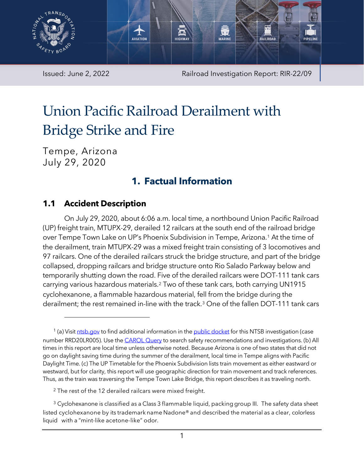

Issued: June 2, 2022 **Railroad Investigation Report: RIR-22/09** 

# Union Pacific Railroad Derailment with Bridge Strike and Fire

Tempe, Arizona July 29, 2020

## **1. Factual Information**

### **1.1 Accident Description**

On July 29, 2020, about 6:06 a.m. local time, a northbound Union Pacific Railroad (UP) freight train, MTUPX-29, derailed 12 railcars at the south end of the railroad bridge over Tempe Town Lake on UP's Phoenix Subdivision in Tempe, Arizona.[1](#page-0-0) At the time of the derailment, train MTUPX-29 was a mixed freight train consisting of 3 locomotives and 97 railcars. One of the derailed railcars struck the bridge structure, and part of the bridge collapsed, dropping railcars and bridge structure onto Rio Salado Parkway below and temporarily shutting down the road. Five of the derailed railcars were DOT-111 tank cars carrying various hazardous materials.[2](#page-0-1) Two of these tank cars, both carrying UN1915 cyclohexanone, a flammable hazardous material, fell from the bridge during the derailment; the rest remained in-line with the track[.3](#page-0-2) One of the fallen DOT-111 tank cars

<span id="page-0-0"></span><sup>&</sup>lt;sup>1</sup> (a) Visi[t ntsb.gov](https://www.ntsb.gov/) to find additional information in the [public docket](https://data.ntsb.gov/Docket/Forms/searchdocket) for this NTSB investigation (case number RRD20LR005). Use the [CAROL Query](https://data.ntsb.gov/carol-main-public/basic-search) to search safety recommendations and investigations. (b) All times in this report are local time unless otherwise noted. Because Arizona is one of two states that did not go on daylight saving time during the summer of the derailment, local time in Tempe aligns with Pacific Daylight Time. (c) The UP Timetable for the Phoenix Subdivision lists train movement as either eastward or westward, but for clarity, this report will use geographic direction for train movement and track references. Thus, as the train was traversing the Tempe Town Lake Bridge, this report describes it as traveling north.

<sup>&</sup>lt;sup>2</sup> The rest of the 12 derailed railcars were mixed freight.

<span id="page-0-2"></span><span id="page-0-1"></span> $3$  Cyclohexanone is classified as a Class 3 flammable liquid, packing group III. The safety data sheet listed cyclohexanone by its trademark name Nadone® and described the material as a clear, colorless liquid with a "mint-like acetone-like" odor.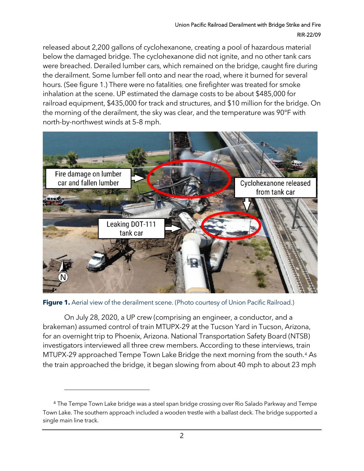#### Union Pacific Railroad Derailment with Bridge Strike and Fire RIR-22/09

released about 2,200 gallons of cyclohexanone, creating a pool of hazardous material below the damaged bridge. The cyclohexanone did not ignite, and no other tank cars were breached. Derailed lumber cars, which remained on the bridge, caught fire during the derailment. Some lumber fell onto and near the road, where it burned for several hours. (Se[e figure 1.](#page-1-0)) There were no fatalities; one firefighter was treated for smoke inhalation at the scene. UP estimated the damage costs to be about \$485,000 for railroad equipment, \$435,000 for track and structures, and \$10 million for the bridge. On the morning of the derailment, the sky was clear, and the temperature was 90°F with north-by-northwest winds at 5–8 mph.



**Figure 1.** Aerial view of the derailment scene. (Photo courtesy of Union Pacific Railroad.)

<span id="page-1-0"></span>On July 28, 2020, a UP crew (comprising an engineer, a conductor, and a brakeman) assumed control of train MTUPX-29 at the Tucson Yard in Tucson, Arizona, for an overnight trip to Phoenix, Arizona. National Transportation Safety Board (NTSB) investigators interviewed all three crew members. According to these interviews, train MTUPX-29 approached Tempe Town Lake Bridge the next morning from the south.[4](#page-1-1) As the train approached the bridge, it began slowing from about 40 mph to about 23 mph

<span id="page-1-1"></span><sup>4</sup> The Tempe Town Lake bridge was a steel span bridge crossing over Rio Salado Parkway and Tempe Town Lake. The southern approach included a wooden trestle with a ballast deck. The bridge supported a single main line track.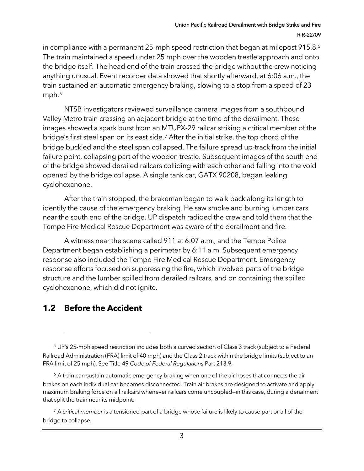#### Union Pacific Railroad Derailment with Bridge Strike and Fire RIR-22/09

in compliance with a permanent 2[5](#page-2-0)-mph speed restriction that began at milepost 915.8.<sup>5</sup> The train maintained a speed under 25 mph over the wooden trestle approach and onto the bridge itself. The head end of the train crossed the bridge without the crew noticing anything unusual. Event recorder data showed that shortly afterward, at 6:06 a.m., the train sustained an automatic emergency braking, slowing to a stop from a speed of 23 mph.<sup>[6](#page-2-1)</sup>

NTSB investigators reviewed surveillance camera images from a southbound Valley Metro train crossing an adjacent bridge at the time of the derailment. These images showed a spark burst from an MTUPX-29 railcar striking a critical member of the bridge's first steel span on its east side.[7](#page-2-2) After the initial strike, the top chord of the bridge buckled and the steel span collapsed. The failure spread up-track from the initial failure point, collapsing part of the wooden trestle. Subsequent images of the south end of the bridge showed derailed railcars colliding with each other and falling into the void opened by the bridge collapse. A single tank car, GATX 90208, began leaking cyclohexanone.

After the train stopped, the brakeman began to walk back along its length to identify the cause of the emergency braking. He saw smoke and burning lumber cars near the south end of the bridge. UP dispatch radioed the crew and told them that the Tempe Fire Medical Rescue Department was aware of the derailment and fire.

A witness near the scene called 911 at 6:07 a.m., and the Tempe Police Department began establishing a perimeter by 6:11 a.m. Subsequent emergency response also included the Tempe Fire Medical Rescue Department. Emergency response efforts focused on suppressing the fire, which involved parts of the bridge structure and the lumber spilled from derailed railcars, and on containing the spilled cyclohexanone, which did not ignite.

#### **1.2 Before the Accident**

<span id="page-2-0"></span><sup>5</sup> UP's 25-mph speed restriction includes both a curved section of Class 3 track (subject to a Federal Railroad Administration (FRA) limit of 40 mph) and the Class 2 track within the bridge limits (subject to an FRA limit of 25 mph). See Title 49 *Code of Federal Regulations* Part 213.9.

<span id="page-2-1"></span> $6$  A train can sustain automatic emergency braking when one of the air hoses that connects the air brakes on each individual car becomes disconnected. Train air brakes are designed to activate and apply maximum braking force on all railcars whenever railcars come uncoupled—in this case, during a derailment that split the train near its midpoint.

<span id="page-2-2"></span><sup>7</sup> A *critical member* is a tensioned part of a bridge whose failure is likely to cause part or all of the bridge to collapse.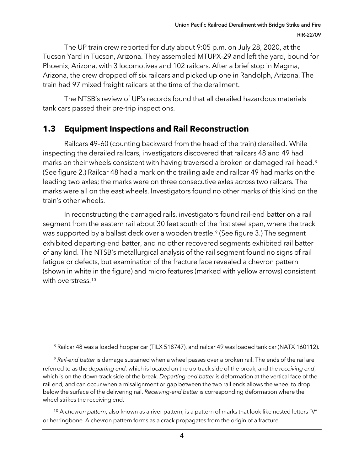The UP train crew reported for duty about 9:05 p.m. on July 28, 2020, at the Tucson Yard in Tucson, Arizona. They assembled MTUPX-29 and left the yard, bound for Phoenix, Arizona, with 3 locomotives and 102 railcars. After a brief stop in Magma, Arizona, the crew dropped off six railcars and picked up one in Randolph, Arizona. The train had 97 mixed freight railcars at the time of the derailment.

The NTSB's review of UP's records found that all derailed hazardous materials tank cars passed their pre-trip inspections.

## **1.3 Equipment Inspections and Rail Reconstruction**

Railcars 49–60 (counting backward from the head of the train) derailed. While inspecting the derailed railcars, investigators discovered that railcars 48 and 49 had marks on their wheels consistent with having traversed a broken or damaged rail head.[8](#page-3-0) (See [figure 2.](#page-4-0)) Railcar 48 had a mark on the trailing axle and railcar 49 had marks on the leading two axles; the marks were on three consecutive axles across two railcars. The marks were all on the east wheels. Investigators found no other marks of this kind on the train's other wheels.

In reconstructing the damaged rails, investigators found rail-end batter on a rail segment from the eastern rail about 30 feet south of the first steel span, where the track was supported by a ballast deck over a wooden trestle.<sup>[9](#page-3-1)</sup> (See [figure 3.](#page-4-1)) The segment exhibited departing-end batter, and no other recovered segments exhibited rail batter of any kind. The NTSB's metallurgical analysis of the rail segment found no signs of rail fatigue or defects, but examination of the fracture face revealed a chevron pattern (shown in white in the figure) and micro features (marked with yellow arrows) consistent with overstress.<sup>10</sup>

<span id="page-3-2"></span><sup>10</sup> A *chevron pattern*, also known as a river pattern, is a pattern of marks that look like nested letters "V" or herringbone. A chevron pattern forms as a crack propagates from the origin of a fracture.

 $8$  Railcar 48 was a loaded hopper car (TILX 518747), and railcar 49 was loaded tank car (NATX 160112).

<span id="page-3-1"></span><span id="page-3-0"></span><sup>9</sup> *Rail-end batter* is damage sustained when a wheel passes over a broken rail. The ends of the rail are referred to as the *departing end*, which is located on the up-track side of the break, and the *receiving end*, which is on the down-track side of the break. *Departing-end batter* is deformation at the vertical face of the rail end, and can occur when a misalignment or gap between the two rail ends allows the wheel to drop below the surface of the delivering rail. *Receiving-end batter* is corresponding deformation where the wheel strikes the receiving end.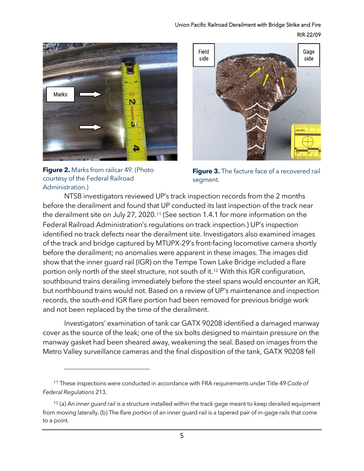#### Union Pacific Railroad Derailment with Bridge Strike and Fire RIR-22/09



<span id="page-4-0"></span>



<span id="page-4-1"></span>**Figure 3.** The facture face of a recovered rail segment.

NTSB investigators reviewed UP's track inspection records from the 2 months before the derailment and found that UP conducted its last inspection of the track near the derailment site on July 27, 2020.[11](#page-4-2) (See section [1.4.1](#page-5-0) for more information on the Federal Railroad Administration's regulations on track inspection.) UP's inspection identified no track defects near the derailment site. Investigators also examined images of the track and bridge captured by MTUPX-29's front-facing locomotive camera shortly before the derailment; no anomalies were apparent in these images. The images did show that the inner guard rail (IGR) on the Tempe Town Lake Bridge included a flare portion only north of the steel structure, not south of it.[12](#page-4-3) With this IGR configuration, southbound trains derailing immediately before the steel spans would encounter an IGR, but northbound trains would not. Based on a review of UP's maintenance and inspection records, the south-end IGR flare portion had been removed for previous bridge work and not been replaced by the time of the derailment.

Investigators' examination of tank car GATX 90208 identified a damaged manway cover as the source of the leak; one of the six bolts designed to maintain pressure on the manway gasket had been sheared away, weakening the seal. Based on images from the Metro Valley surveillance cameras and the final disposition of the tank, GATX 90208 fell

<span id="page-4-2"></span><sup>11</sup> These inspections were conducted in accordance with FRA requirements under Title 49 *Code of Federal Regulations* 213.

<span id="page-4-3"></span><sup>12</sup> (a) An *inner guard rail* is a structure installed within the track gage meant to keep derailed equipment from moving laterally. (b) The *flare portion* of an inner guard rail is a tapered pair of in-gage rails that come to a point.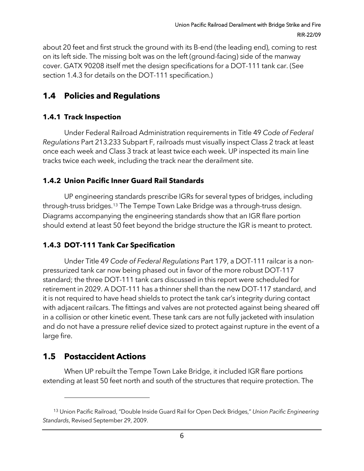about 20 feet and first struck the ground with its B-end (the leading end), coming to rest on its left side. The missing bolt was on the left (ground-facing) side of the manway cover. GATX 90208 itself met the design specifications for a DOT-111 tank car. (See sectio[n 1.4.3](#page-5-1) for details on the DOT-111 specification.)

## **1.4 Policies and Regulations**

#### <span id="page-5-0"></span>**1.4.1 Track Inspection**

Under Federal Railroad Administration requirements in Title 49 *Code of Federal Regulations* Part 213.233 Subpart F, railroads must visually inspect Class 2 track at least once each week and Class 3 track at least twice each week. UP inspected its main line tracks twice each week, including the track near the derailment site.

#### **1.4.2 Union Pacific Inner Guard Rail Standards**

UP engineering standards prescribe IGRs for several types of bridges, including through-truss bridges.[13](#page-5-2) The Tempe Town Lake Bridge was a through-truss design. Diagrams accompanying the engineering standards show that an IGR flare portion should extend at least 50 feet beyond the bridge structure the IGR is meant to protect.

#### <span id="page-5-1"></span>**1.4.3 DOT-111 Tank Car Specification**

Under Title 49 *Code of Federal Regulations* Part 179, a DOT-111 railcar is a nonpressurized tank car now being phased out in favor of the more robust DOT-117 standard; the three DOT-111 tank cars discussed in this report were scheduled for retirement in 2029. A DOT-111 has a thinner shell than the new DOT-117 standard, and it is not required to have head shields to protect the tank car's integrity during contact with adjacent railcars. The fittings and valves are not protected against being sheared off in a collision or other kinetic event. These tank cars are not fully jacketed with insulation and do not have a pressure relief device sized to protect against rupture in the event of a large fire.

## **1.5 Postaccident Actions**

When UP rebuilt the Tempe Town Lake Bridge, it included IGR flare portions extending at least 50 feet north and south of the structures that require protection. The

<span id="page-5-2"></span><sup>13</sup> Union Pacific Railroad, "Double Inside Guard Rail for Open Deck Bridges," *Union Pacific Engineering Standards*, Revised September 29, 2009.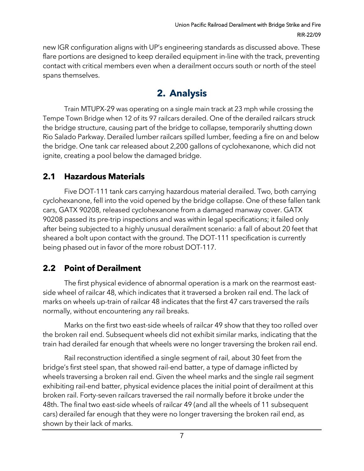new IGR configuration aligns with UP's engineering standards as discussed above. These flare portions are designed to keep derailed equipment in-line with the track, preventing contact with critical members even when a derailment occurs south or north of the steel spans themselves.

# **2. Analysis**

Train MTUPX-29 was operating on a single main track at 23 mph while crossing the Tempe Town Bridge when 12 of its 97 railcars derailed. One of the derailed railcars struck the bridge structure, causing part of the bridge to collapse, temporarily shutting down Rio Salado Parkway. Derailed lumber railcars spilled lumber, feeding a fire on and below the bridge. One tank car released about 2,200 gallons of cyclohexanone, which did not ignite, creating a pool below the damaged bridge.

## **2.1 Hazardous Materials**

Five DOT-111 tank cars carrying hazardous material derailed. Two, both carrying cyclohexanone, fell into the void opened by the bridge collapse. One of these fallen tank cars, GATX 90208, released cyclohexanone from a damaged manway cover. GATX 90208 passed its pre-trip inspections and was within legal specifications; it failed only after being subjected to a highly unusual derailment scenario: a fall of about 20 feet that sheared a bolt upon contact with the ground. The DOT-111 specification is currently being phased out in favor of the more robust DOT-117.

## **2.2 Point of Derailment**

The first physical evidence of abnormal operation is a mark on the rearmost eastside wheel of railcar 48, which indicates that it traversed a broken rail end. The lack of marks on wheels up-train of railcar 48 indicates that the first 47 cars traversed the rails normally, without encountering any rail breaks.

Marks on the first two east-side wheels of railcar 49 show that they too rolled over the broken rail end. Subsequent wheels did not exhibit similar marks, indicating that the train had derailed far enough that wheels were no longer traversing the broken rail end.

Rail reconstruction identified a single segment of rail, about 30 feet from the bridge's first steel span, that showed rail-end batter, a type of damage inflicted by wheels traversing a broken rail end. Given the wheel marks and the single rail segment exhibiting rail-end batter, physical evidence places the initial point of derailment at this broken rail. Forty-seven railcars traversed the rail normally before it broke under the 48th. The final two east-side wheels of railcar 49 (and all the wheels of 11 subsequent cars) derailed far enough that they were no longer traversing the broken rail end, as shown by their lack of marks.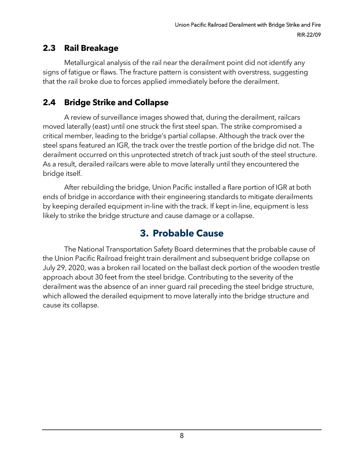## **2.3 Rail Breakage**

Metallurgical analysis of the rail near the derailment point did not identify any signs of fatigue or flaws. The fracture pattern is consistent with overstress, suggesting that the rail broke due to forces applied immediately before the derailment.

## **2.4 Bridge Strike and Collapse**

A review of surveillance images showed that, during the derailment, railcars moved laterally (east) until one struck the first steel span. The strike compromised a critical member, leading to the bridge's partial collapse. Although the track over the steel spans featured an IGR, the track over the trestle portion of the bridge did not. The derailment occurred on this unprotected stretch of track just south of the steel structure. As a result, derailed railcars were able to move laterally until they encountered the bridge itself.

After rebuilding the bridge, Union Pacific installed a flare portion of IGR at both ends of bridge in accordance with their engineering standards to mitigate derailments by keeping derailed equipment in-line with the track. If kept in-line, equipment is less likely to strike the bridge structure and cause damage or a collapse.

# **3. Probable Cause**

The National Transportation Safety Board determines that the probable cause of the Union Pacific Railroad freight train derailment and subsequent bridge collapse on July 29, 2020, was a broken rail located on the ballast deck portion of the wooden trestle approach about 30 feet from the steel bridge. Contributing to the severity of the derailment was the absence of an inner guard rail preceding the steel bridge structure, which allowed the derailed equipment to move laterally into the bridge structure and cause its collapse.